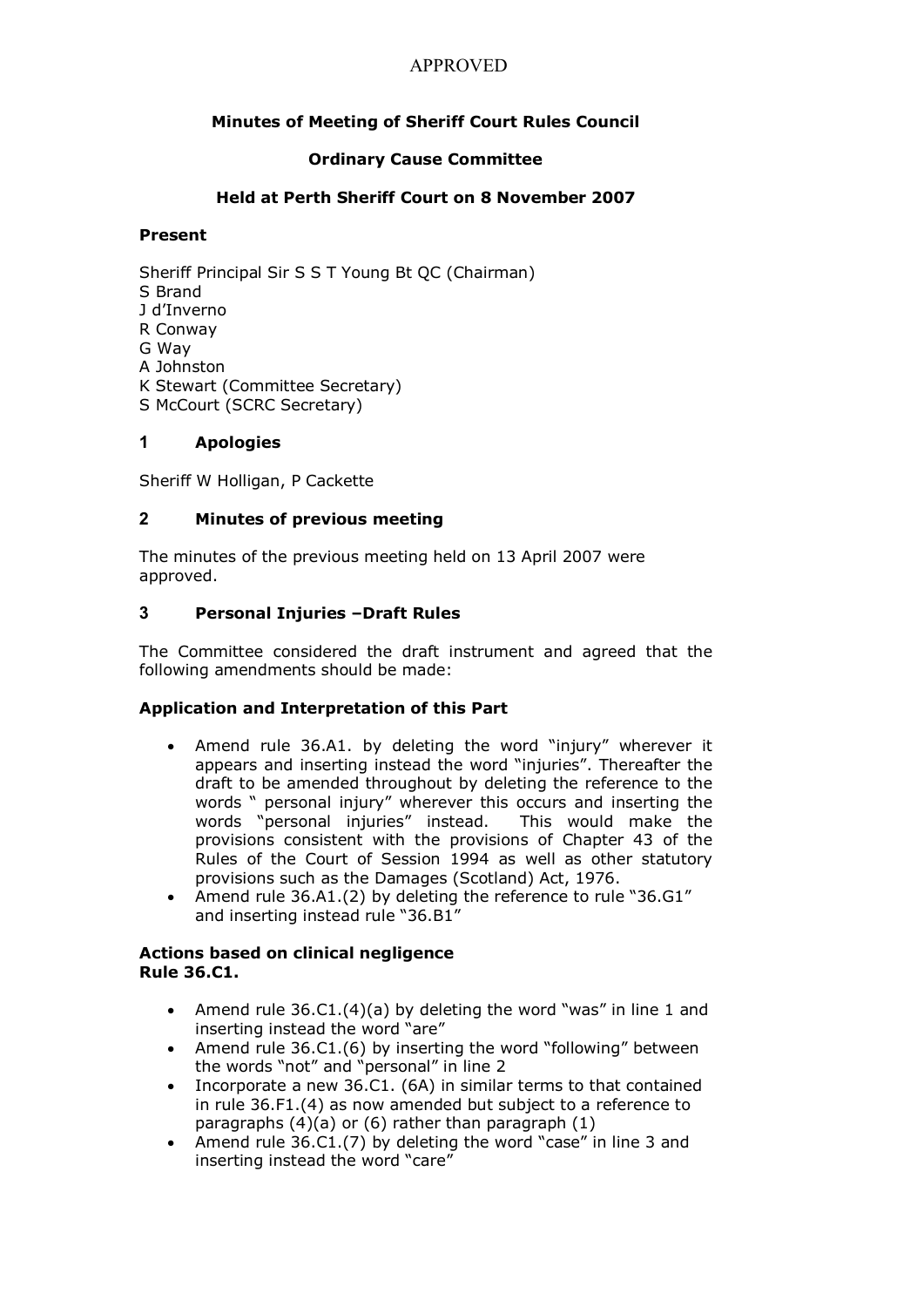# **Minutes of Meeting of Sheriff Court Rules Council**

### **Ordinary Cause Committee**

### **Held at Perth Sheriff Court on 8 November 2007**

#### **Present**

Sheriff Principal Sir S S T Young Bt QC (Chairman) S Brand J d'Inverno R Conway G Way A Johnston K Stewart (Committee Secretary) S McCourt (SCRC Secretary)

### **1 Apologies**

Sheriff W Holligan, P Cackette

### **2 Minutes of previous meeting**

The minutes of the previous meeting held on 13 April 2007 were approved.

### **3 Personal Injuries –Draft Rules**

The Committee considered the draft instrument and agreed that the following amendments should be made:

### **Application and Interpretation of this Part**

- · Amend rule 36.A1. by deleting the word "injury" wherever it appears and inserting instead the word "injuries". Thereafter the draft to be amended throughout by deleting the reference to the words " personal injury" wherever this occurs and inserting the words "personal injuries" instead. This would make the provisions consistent with the provisions of Chapter 43 of the Rules of the Court of Session 1994 as well as other statutory provisions such as the Damages (Scotland) Act, 1976.
- · Amend rule 36.A1.(2) by deleting the reference to rule "36.G1" and inserting instead rule "36.B1"

#### **Actions based on clinical negligence Rule 36.C1.**

- Amend rule  $36.C1.(4)(a)$  by deleting the word "was" in line 1 and inserting instead the word "are"
- · Amend rule 36.C1.(6) by inserting the word "following" between the words "not" and "personal" in line 2
- · Incorporate a new 36.C1. (6A) in similar terms to that contained in rule 36.F1.(4) as now amended but subject to a reference to paragraphs  $(4)(a)$  or  $(6)$  rather than paragraph  $(1)$
- Amend rule 36.C1.(7) by deleting the word "case" in line 3 and inserting instead the word "care"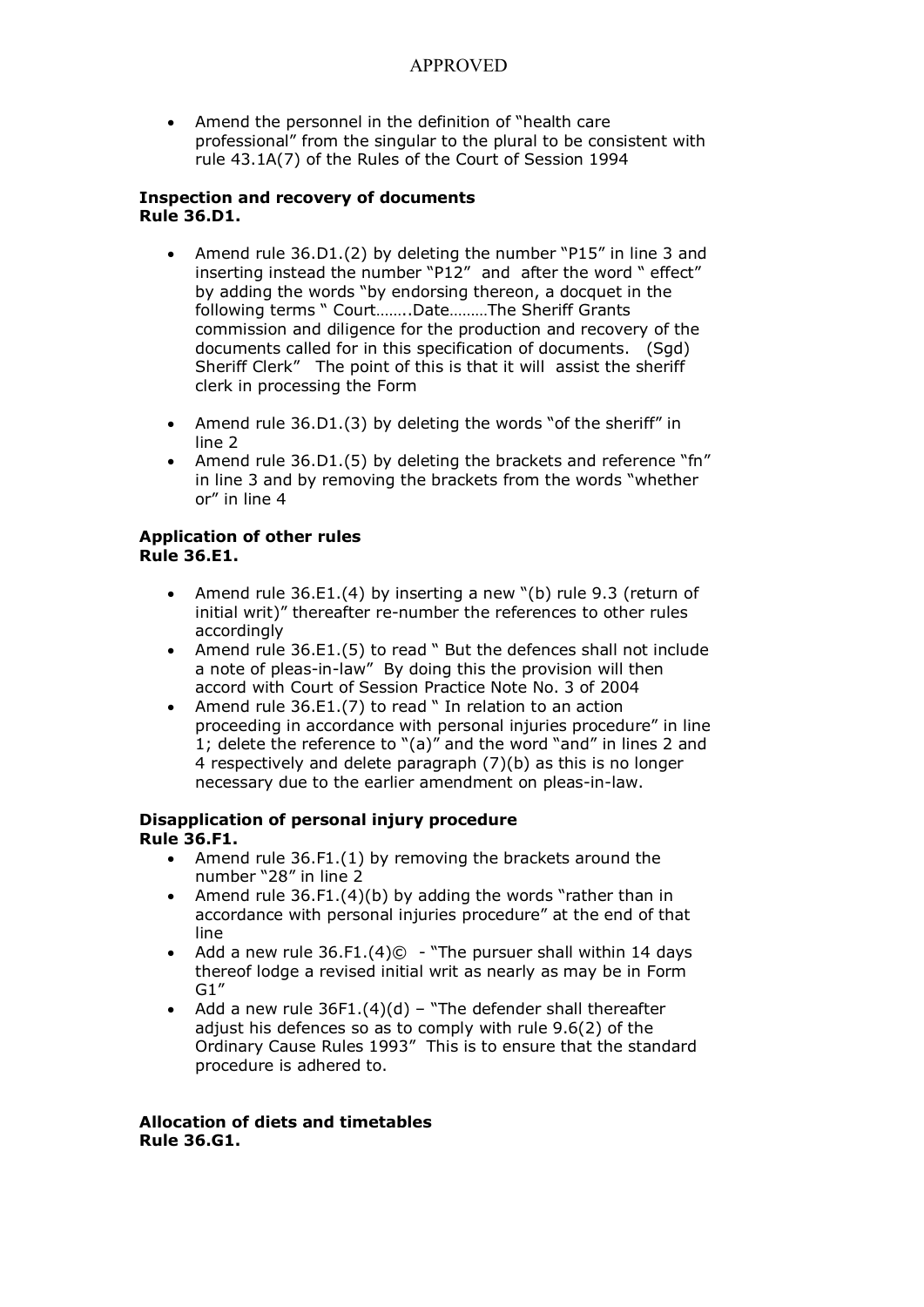Amend the personnel in the definition of "health care" professional" from the singular to the plural to be consistent with rule 43.1A(7) of the Rules of the Court of Session 1994

#### **Inspection and recovery of documents Rule 36.D1.**

- · Amend rule 36.D1.(2) by deleting the number "P15" in line 3 and inserting instead the number "P12" and after the word " effect" by adding the words "by endorsing thereon, a docquet in the following terms " Court……..Date………The Sheriff Grants commission and diligence for the production and recovery of the documents called for in this specification of documents. (Sgd) Sheriff Clerk" The point of this is that it will assist the sheriff clerk in processing the Form
- · Amend rule 36.D1.(3) by deleting the words "of the sheriff" in line 2
- Amend rule 36.D1.(5) by deleting the brackets and reference "fn" in line 3 and by removing the brackets from the words "whether or" in line 4

#### **Application of other rules Rule 36.E1.**

- · Amend rule 36.E1.(4) by inserting a new "(b) rule 9.3 (return of initial writ)" thereafter re-number the references to other rules accordingly
- · Amend rule 36.E1.(5) to read " But the defences shall not include a note of pleas-in-law" By doing this the provision will then accord with Court of Session Practice Note No. 3 of 2004
- Amend rule 36.E1.(7) to read " In relation to an action proceeding in accordance with personal injuries procedure" in line 1; delete the reference to "(a)" and the word "and" in lines 2 and 4 respectively and delete paragraph (7)(b) as this is no longer necessary due to the earlier amendment on pleas-in-law.

#### **Disapplication of personal injury procedure Rule 36.F1.**

- · Amend rule 36.F1.(1) by removing the brackets around the number "28" in line 2
- · Amend rule 36.F1.(4)(b) by adding the words "rather than in accordance with personal injuries procedure" at the end of that line
- Add a new rule  $36.F1.(4)$   $\odot$  "The pursuer shall within 14 days thereof lodge a revised initial writ as nearly as may be in Form G1"
- Add a new rule  $36F1.(4)(d)$  "The defender shall thereafter adjust his defences so as to comply with rule 9.6(2) of the Ordinary Cause Rules 1993" This is to ensure that the standard procedure is adhered to.

#### **Allocation of diets and timetables Rule 36.G1.**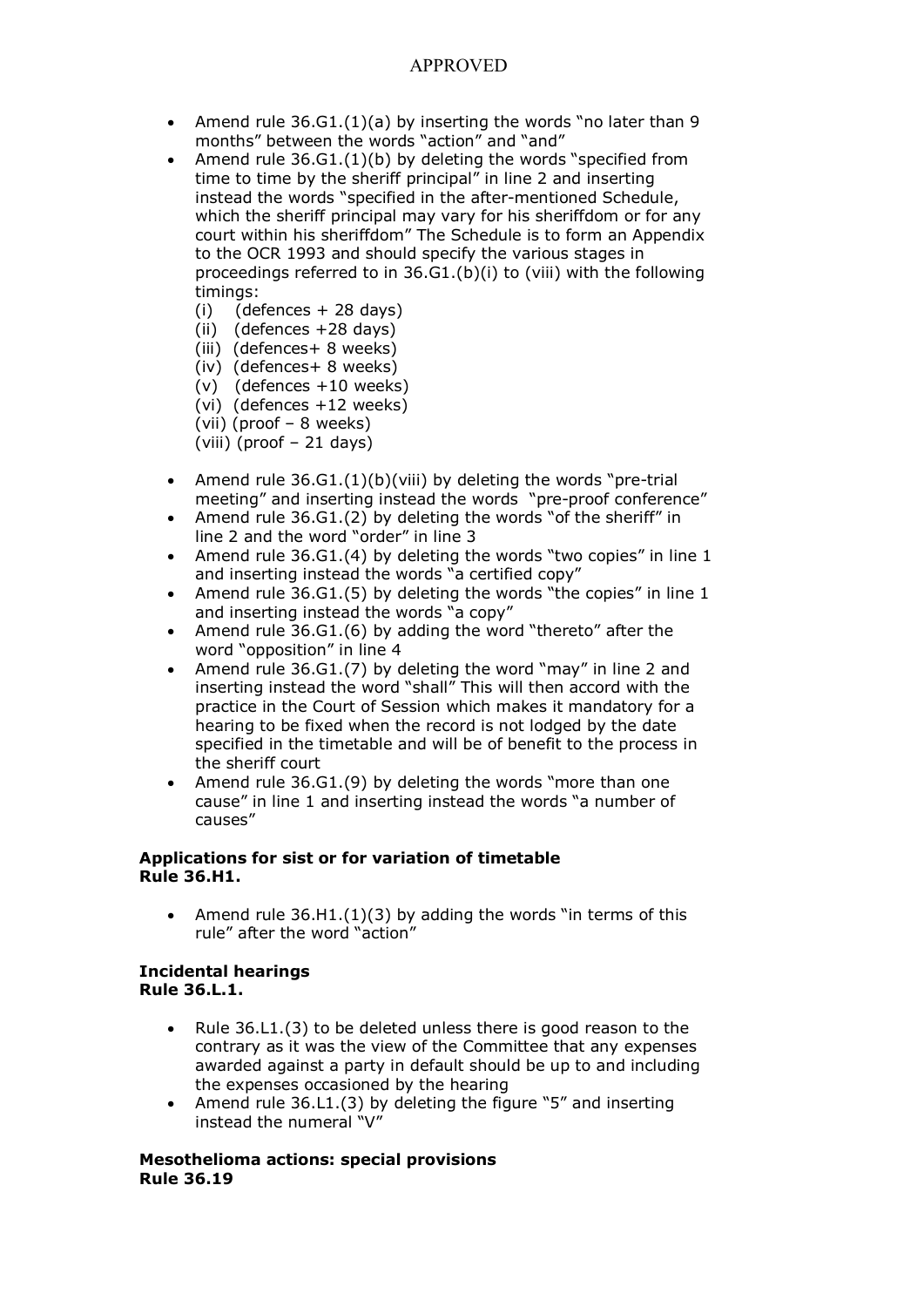- Amend rule  $36.G1.(1)(a)$  by inserting the words "no later than 9 months" between the words "action" and "and"
- Amend rule  $36.G1.(1)(b)$  by deleting the words "specified from time to time by the sheriff principal" in line 2 and inserting instead the words "specified in the after-mentioned Schedule, which the sheriff principal may vary for his sheriffdom or for any court within his sheriffdom" The Schedule is to form an Appendix to the OCR 1993 and should specify the various stages in proceedings referred to in 36.G1.(b)(i) to (viii) with the following timings:
	- $(i)$  (defences  $+$  28 days)
	- $(ii)$  (defences  $+28$  days)
	- (iii) (defences+ 8 weeks)
	- (iv) (defences+ 8 weeks)
	- $(v)$  (defences  $+10$  weeks)
	- (vi) (defences +12 weeks)
	- (vii) (proof 8 weeks)
	- (viii) (proof 21 days)
- Amend rule  $36.G1.(1)(b)(viii)$  by deleting the words "pre-trial meeting" and inserting instead the words "pre-proof conference"
- Amend rule 36.G1.(2) by deleting the words "of the sheriff" in line 2 and the word "order" in line 3
- Amend rule 36.G1.(4) by deleting the words "two copies" in line 1 and inserting instead the words "a certified copy"
- Amend rule 36.G1.(5) by deleting the words "the copies" in line 1 and inserting instead the words "a copy"
- Amend rule 36.G1.(6) by adding the word "thereto" after the word "opposition" in line 4
- Amend rule 36.G1.(7) by deleting the word "may" in line 2 and inserting instead the word "shall" This will then accord with the practice in the Court of Session which makes it mandatory for a hearing to be fixed when the record is not lodged by the date specified in the timetable and will be of benefit to the process in the sheriff court
- · Amend rule 36.G1.(9) by deleting the words "more than one cause" in line 1 and inserting instead the words "a number of causes"

#### **Applications for sist or for variation of timetable Rule 36.H1.**

Amend rule  $36.H1.(1)(3)$  by adding the words "in terms of this rule" after the word "action"

#### **Incidental hearings Rule 36.L.1.**

- Rule 36.L1.(3) to be deleted unless there is good reason to the contrary as it was the view of the Committee that any expenses awarded against a party in default should be up to and including the expenses occasioned by the hearing
- · Amend rule 36.L1.(3) by deleting the figure "5" and inserting instead the numeral "V"

#### **Mesothelioma actions: special provisions Rule 36.19**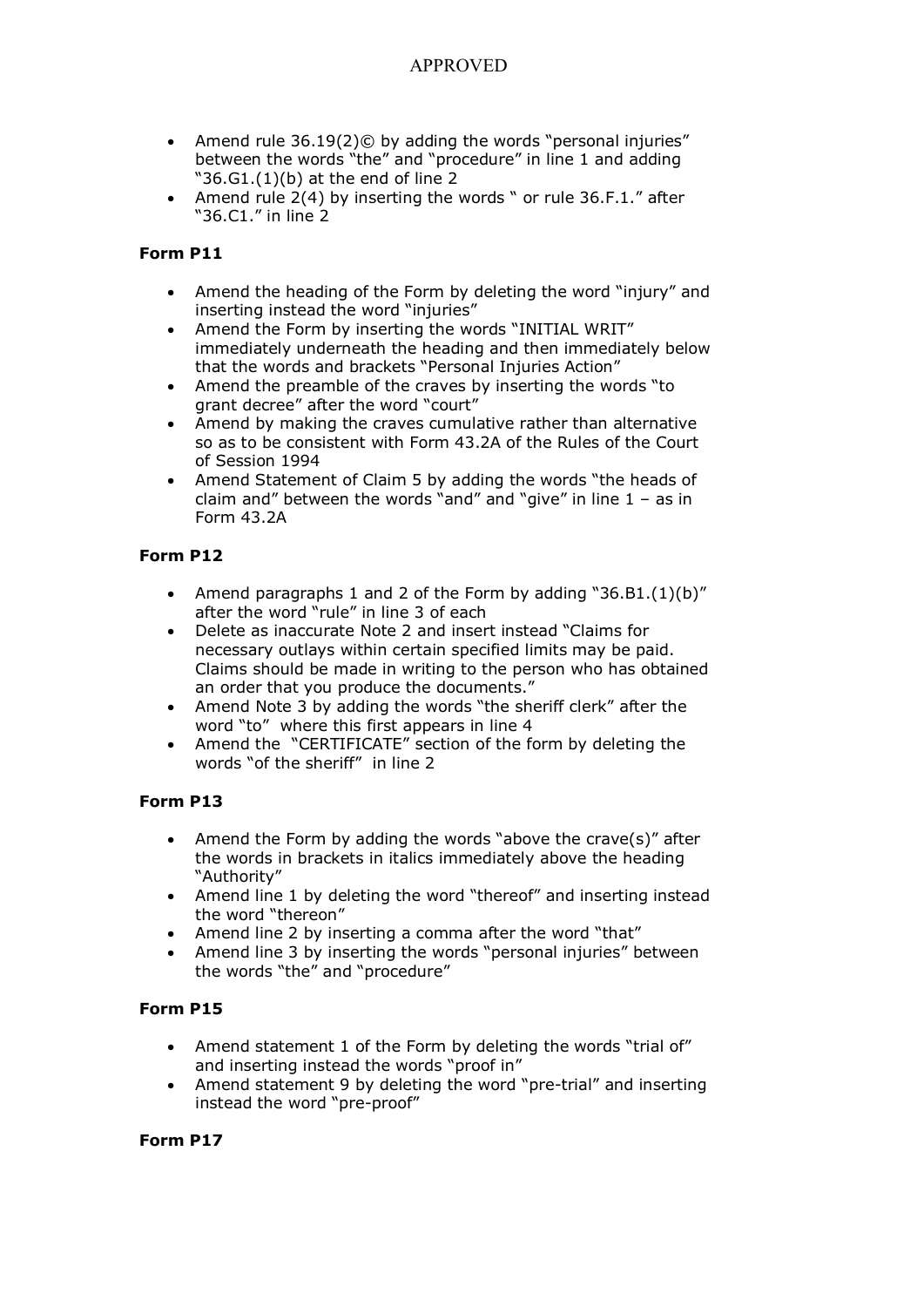- · Amend rule 36.19(2)© by adding the words "personal injuries" between the words "the" and "procedure" in line 1 and adding " $36.G1.(1)(b)$  at the end of line 2
- Amend rule 2(4) by inserting the words " or rule 36.F.1." after "36.C1." in line 2

### **Form P11**

- · Amend the heading of the Form by deleting the word "injury" and inserting instead the word "injuries"
- · Amend the Form by inserting the words "INITIAL WRIT" immediately underneath the heading and then immediately below that the words and brackets "Personal Injuries Action"
- · Amend the preamble of the craves by inserting the words "to grant decree" after the word "court"
- · Amend by making the craves cumulative rather than alternative so as to be consistent with Form 43.2A of the Rules of the Court of Session 1994
- Amend Statement of Claim 5 by adding the words "the heads of claim and" between the words "and" and "give" in line  $1 - as$  in Form 43.2A

# **Form P12**

- · Amend paragraphs 1 and 2 of the Form by adding "36.B1.(1)(b)" after the word "rule" in line 3 of each
- · Delete as inaccurate Note 2 and insert instead "Claims for necessary outlays within certain specified limits may be paid. Claims should be made in writing to the person who has obtained an order that you produce the documents."
- Amend Note 3 by adding the words "the sheriff clerk" after the word "to" where this first appears in line 4
- Amend the "CERTIFICATE" section of the form by deleting the words "of the sheriff" in line 2

### **Form P13**

- · Amend the Form by adding the words "above the crave(s)" after the words in brackets in italics immediately above the heading "Authority"
- Amend line 1 by deleting the word "thereof" and inserting instead the word "thereon"
- Amend line 2 by inserting a comma after the word "that"
- Amend line 3 by inserting the words "personal injuries" between the words "the" and "procedure"

### **Form P15**

- · Amend statement 1 of the Form by deleting the words "trial of" and inserting instead the words "proof in"
- Amend statement 9 by deleting the word "pre-trial" and inserting instead the word "pre-proof"

### **Form P17**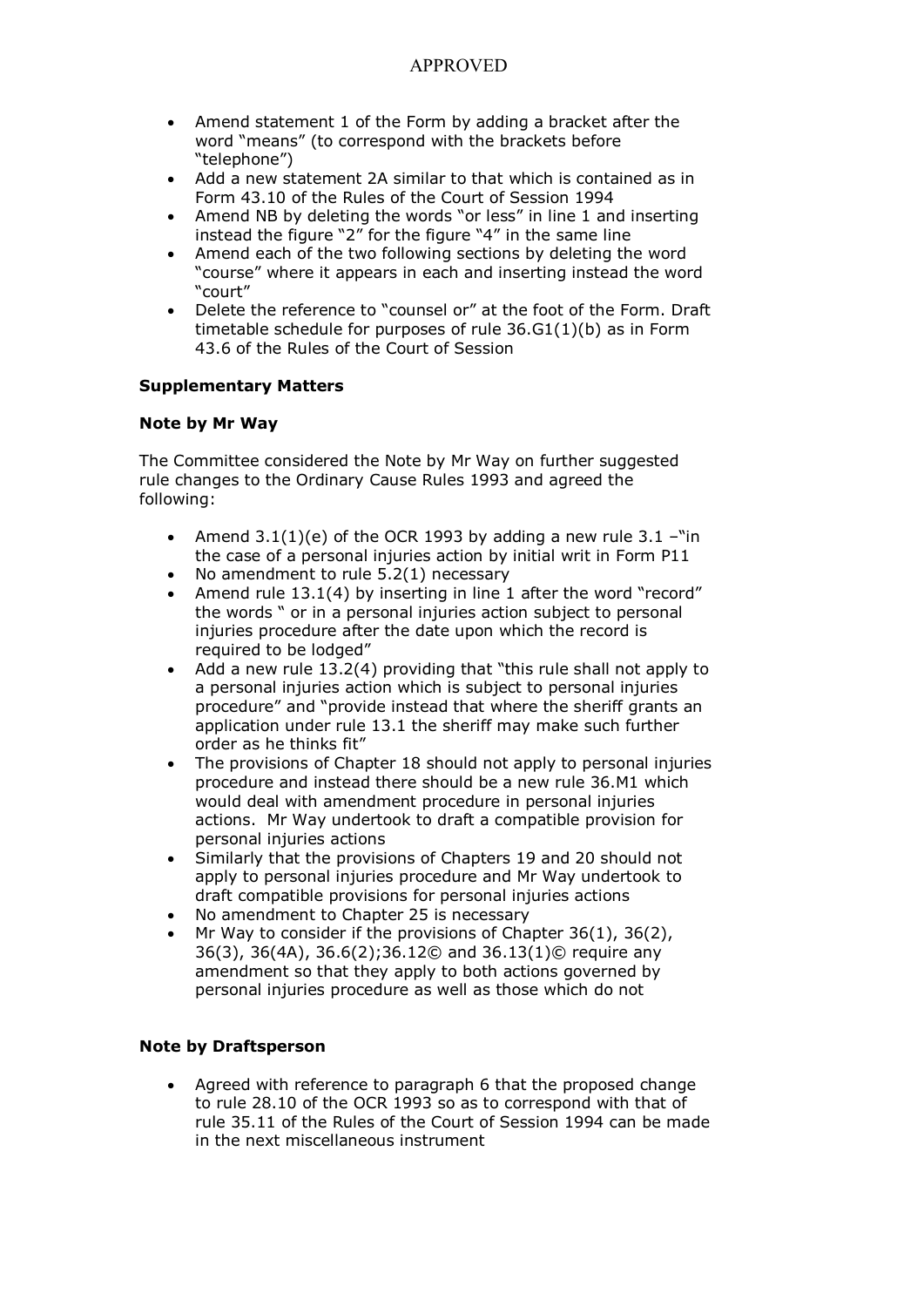- Amend statement 1 of the Form by adding a bracket after the word "means" (to correspond with the brackets before "telephone")
- Add a new statement 2A similar to that which is contained as in Form 43.10 of the Rules of the Court of Session 1994
- Amend NB by deleting the words "or less" in line 1 and inserting instead the figure "2" for the figure "4" in the same line
- Amend each of the two following sections by deleting the word "course" where it appears in each and inserting instead the word "court"
- Delete the reference to "counsel or" at the foot of the Form. Draft timetable schedule for purposes of rule 36.G1(1)(b) as in Form 43.6 of the Rules of the Court of Session

#### **Supplementary Matters**

#### **Note by Mr Way**

The Committee considered the Note by Mr Way on further suggested rule changes to the Ordinary Cause Rules 1993 and agreed the following:

- Amend  $3.1(1)(e)$  of the OCR 1993 by adding a new rule  $3.1 -$ "in the case of a personal injuries action by initial writ in Form P11
- No amendment to rule  $5.2(1)$  necessary
- Amend rule  $13.1(4)$  by inserting in line 1 after the word "record" the words " or in a personal injuries action subject to personal injuries procedure after the date upon which the record is required to be lodged"
- · Add a new rule 13.2(4) providing that "this rule shall not apply to a personal injuries action which is subject to personal injuries procedure" and "provide instead that where the sheriff grants an application under rule 13.1 the sheriff may make such further order as he thinks fit"
- The provisions of Chapter 18 should not apply to personal injuries procedure and instead there should be a new rule 36.M1 which would deal with amendment procedure in personal injuries actions. Mr Way undertook to draft a compatible provision for personal injuries actions
- Similarly that the provisions of Chapters 19 and 20 should not apply to personal injuries procedure and Mr Way undertook to draft compatible provisions for personal injuries actions
- No amendment to Chapter 25 is necessary
- Mr Way to consider if the provisions of Chapter  $36(1)$ ,  $36(2)$ , 36(3), 36(4A), 36.6(2);36.12© and 36.13(1)© require any amendment so that they apply to both actions governed by personal injuries procedure as well as those which do not

### **Note by Draftsperson**

Agreed with reference to paragraph 6 that the proposed change to rule 28.10 of the OCR 1993 so as to correspond with that of rule 35.11 of the Rules of the Court of Session 1994 can be made in the next miscellaneous instrument